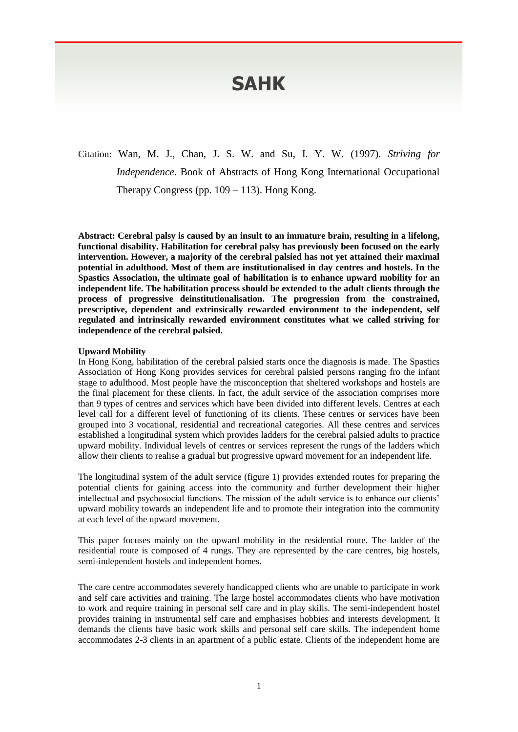# **SAHK**

Citation: Wan, M. J., Chan, J. S. W. and Su, I. Y. W. (1997). *Striving for Independence*. Book of Abstracts of Hong Kong International Occupational Therapy Congress (pp.  $109 - 113$ ). Hong Kong.

**Abstract: Cerebral palsy is caused by an insult to an immature brain, resulting in a lifelong, functional disability. Habilitation for cerebral palsy has previously been focused on the early intervention. However, a majority of the cerebral palsied has not yet attained their maximal potential in adulthood. Most of them are institutionalised in day centres and hostels. In the Spastics Association, the ultimate goal of habilitation is to enhance upward mobility for an independent life. The habilitation process should be extended to the adult clients through the process of progressive deinstitutionalisation. The progression from the constrained, prescriptive, dependent and extrinsically rewarded environment to the independent, self regulated and intrinsically rewarded environment constitutes what we called striving for independence of the cerebral palsied.**

#### **Upward Mobility**

In Hong Kong, habilitation of the cerebral palsied starts once the diagnosis is made. The Spastics Association of Hong Kong provides services for cerebral palsied persons ranging fro the infant stage to adulthood. Most people have the misconception that sheltered workshops and hostels are the final placement for these clients. In fact, the adult service of the association comprises more than 9 types of centres and services which have been divided into different levels. Centres at each level call for a different level of functioning of its clients. These centres or services have been grouped into 3 vocational, residential and recreational categories. All these centres and services established a longitudinal system which provides ladders for the cerebral palsied adults to practice upward mobility. Individual levels of centres or services represent the rungs of the ladders which allow their clients to realise a gradual but progressive upward movement for an independent life.

The longitudinal system of the adult service (figure 1) provides extended routes for preparing the potential clients for gaining access into the community and further development their higher intellectual and psychosocial functions. The mission of the adult service is to enhance our clients' upward mobility towards an independent life and to promote their integration into the community at each level of the upward movement.

This paper focuses mainly on the upward mobility in the residential route. The ladder of the residential route is composed of 4 rungs. They are represented by the care centres, big hostels, semi-independent hostels and independent homes.

The care centre accommodates severely handicapped clients who are unable to participate in work and self care activities and training. The large hostel accommodates clients who have motivation to work and require training in personal self care and in play skills. The semi-independent hostel provides training in instrumental self care and emphasises hobbies and interests development. It demands the clients have basic work skills and personal self care skills. The independent home accommodates 2-3 clients in an apartment of a public estate. Clients of the independent home are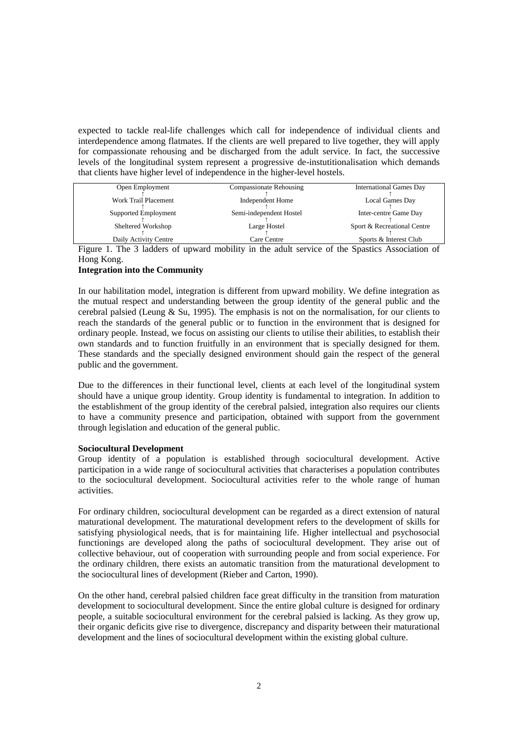expected to tackle real-life challenges which call for independence of individual clients and interdependence among flatmates. If the clients are well prepared to live together, they will apply for compassionate rehousing and be discharged from the adult service. In fact, the successive levels of the longitudinal system represent a progressive de-instutitionalisation which demands that clients have higher level of independence in the higher-level hostels.

| Compassionate Rehousing<br><b>International Games Day</b><br>Open Employment |  |
|------------------------------------------------------------------------------|--|
|                                                                              |  |
|                                                                              |  |
| Work Trail Placement<br>Independent Home<br>Local Games Day                  |  |
|                                                                              |  |
| Semi-independent Hostel<br>Supported Employment<br>Inter-centre Game Day     |  |
|                                                                              |  |
| Sheltered Workshop<br>Sport & Recreational Centre<br>Large Hostel            |  |
|                                                                              |  |
| Daily Activity Centre<br>Sports & Interest Club<br>Care Centre               |  |

Figure 1. The 3 ladders of upward mobility in the adult service of the Spastics Association of Hong Kong.

## **Integration into the Community**

In our habilitation model, integration is different from upward mobility. We define integration as the mutual respect and understanding between the group identity of the general public and the cerebral palsied (Leung & Su, 1995). The emphasis is not on the normalisation, for our clients to reach the standards of the general public or to function in the environment that is designed for ordinary people. Instead, we focus on assisting our clients to utilise their abilities, to establish their own standards and to function fruitfully in an environment that is specially designed for them. These standards and the specially designed environment should gain the respect of the general public and the government.

Due to the differences in their functional level, clients at each level of the longitudinal system should have a unique group identity. Group identity is fundamental to integration. In addition to the establishment of the group identity of the cerebral palsied, integration also requires our clients to have a community presence and participation, obtained with support from the government through legislation and education of the general public.

## **Sociocultural Development**

Group identity of a population is established through sociocultural development. Active participation in a wide range of sociocultural activities that characterises a population contributes to the sociocultural development. Sociocultural activities refer to the whole range of human activities.

For ordinary children, sociocultural development can be regarded as a direct extension of natural maturational development. The maturational development refers to the development of skills for satisfying physiological needs, that is for maintaining life. Higher intellectual and psychosocial functionings are developed along the paths of sociocultural development. They arise out of collective behaviour, out of cooperation with surrounding people and from social experience. For the ordinary children, there exists an automatic transition from the maturational development to the sociocultural lines of development (Rieber and Carton, 1990).

On the other hand, cerebral palsied children face great difficulty in the transition from maturation development to sociocultural development. Since the entire global culture is designed for ordinary people, a suitable sociocultural environment for the cerebral palsied is lacking. As they grow up, their organic deficits give rise to divergence, discrepancy and disparity between their maturational development and the lines of sociocultural development within the existing global culture.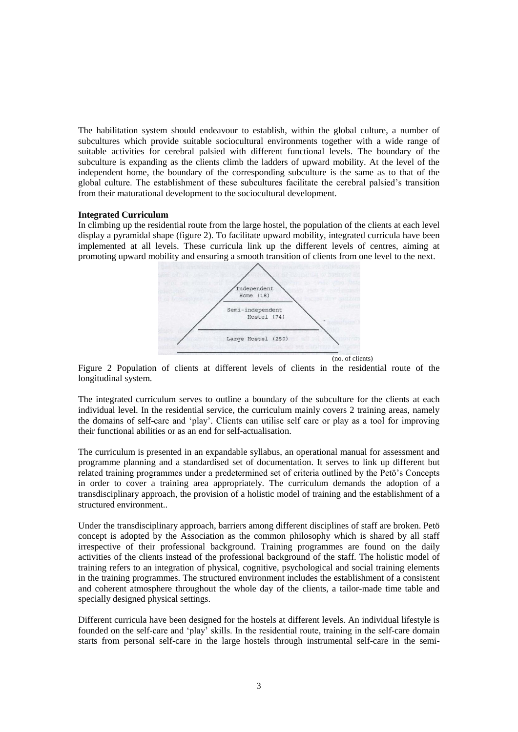The habilitation system should endeavour to establish, within the global culture, a number of subcultures which provide suitable sociocultural environments together with a wide range of suitable activities for cerebral palsied with different functional levels. The boundary of the subculture is expanding as the clients climb the ladders of upward mobility. At the level of the independent home, the boundary of the corresponding subculture is the same as to that of the global culture. The establishment of these subcultures facilitate the cerebral palsied's transition from their maturational development to the sociocultural development.

#### **Integrated Curriculum**

In climbing up the residential route from the large hostel, the population of the clients at each level display a pyramidal shape (figure 2). To facilitate upward mobility, integrated curricula have been implemented at all levels. These curricula link up the different levels of centres, aiming at promoting upward mobility and ensuring a smooth transition of clients from one level to the next.



Figure 2 Population of clients at different levels of clients in the residential route of the longitudinal system.

The integrated curriculum serves to outline a boundary of the subculture for the clients at each individual level. In the residential service, the curriculum mainly covers 2 training areas, namely the domains of self-care and 'play'. Clients can utilise self care or play as a tool for improving their functional abilities or as an end for self-actualisation.

The curriculum is presented in an expandable syllabus, an operational manual for assessment and programme planning and a standardised set of documentation. It serves to link up different but related training programmes under a predetermined set of criteria outlined by the Petö's Concepts in order to cover a training area appropriately. The curriculum demands the adoption of a transdisciplinary approach, the provision of a holistic model of training and the establishment of a structured environment..

Under the transdisciplinary approach, barriers among different disciplines of staff are broken. Petö concept is adopted by the Association as the common philosophy which is shared by all staff irrespective of their professional background. Training programmes are found on the daily activities of the clients instead of the professional background of the staff. The holistic model of training refers to an integration of physical, cognitive, psychological and social training elements in the training programmes. The structured environment includes the establishment of a consistent and coherent atmosphere throughout the whole day of the clients, a tailor-made time table and specially designed physical settings.

Different curricula have been designed for the hostels at different levels. An individual lifestyle is founded on the self-care and 'play' skills. In the residential route, training in the self-care domain starts from personal self-care in the large hostels through instrumental self-care in the semi